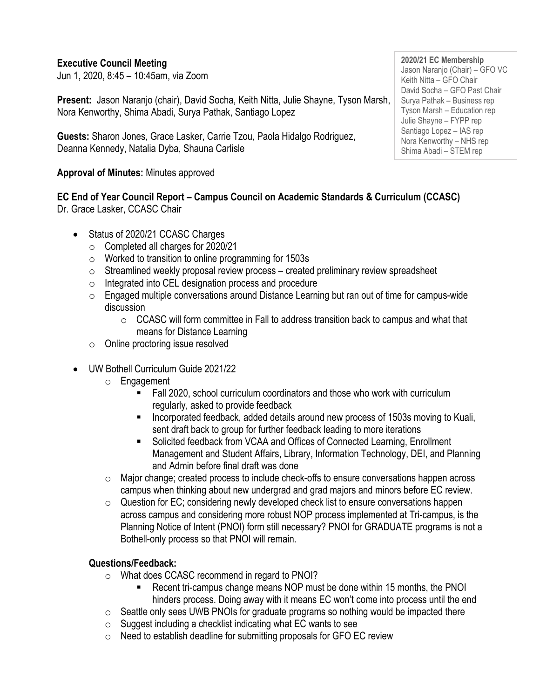### **Executive Council Meeting**

Jun 1, 2020, 8:45 – 10:45am, via Zoom

**Present:** Jason Naranjo (chair), David Socha, Keith Nitta, Julie Shayne, Tyson Marsh, Nora Kenworthy, Shima Abadi, Surya Pathak, Santiago Lopez

**Guests:** Sharon Jones, Grace Lasker, Carrie Tzou, Paola Hidalgo Rodriguez, Deanna Kennedy, Natalia Dyba, Shauna Carlisle

#### **Approval of Minutes:** Minutes approved

**EC End of Year Council Report – Campus Council on Academic Standards & Curriculum (CCASC)**  Dr. Grace Lasker, CCASC Chair

- Status of 2020/21 CCASC Charges
	- o Completed all charges for 2020/21
	- o Worked to transition to online programming for 1503s
	- $\circ$  Streamlined weekly proposal review process created preliminary review spreadsheet
	- o Integrated into CEL designation process and procedure
	- $\circ$  Engaged multiple conversations around Distance Learning but ran out of time for campus-wide discussion
		- $\circ$  CCASC will form committee in Fall to address transition back to campus and what that means for Distance Learning
	- o Online proctoring issue resolved
- UW Bothell Curriculum Guide 2021/22
	- o Engagement
		- Fall 2020, school curriculum coordinators and those who work with curriculum regularly, asked to provide feedback
		- Incorporated feedback, added details around new process of 1503s moving to Kuali, sent draft back to group for further feedback leading to more iterations
		- Solicited feedback from VCAA and Offices of Connected Learning, Enrollment Management and Student Affairs, Library, Information Technology, DEI, and Planning and Admin before final draft was done
	- $\circ$  Major change; created process to include check-offs to ensure conversations happen across campus when thinking about new undergrad and grad majors and minors before EC review.
	- $\circ$  Question for EC; considering newly developed check list to ensure conversations happen across campus and considering more robust NOP process implemented at Tri-campus, is the Planning Notice of Intent (PNOI) form still necessary? PNOI for GRADUATE programs is not a Bothell-only process so that PNOI will remain.

## **Questions/Feedback:**

- o What does CCASC recommend in regard to PNOI?
	- Recent tri-campus change means NOP must be done within 15 months, the PNOI hinders process. Doing away with it means EC won't come into process until the end
- $\circ$  Seattle only sees UWB PNOIs for graduate programs so nothing would be impacted there
- $\circ$  Suggest including a checklist indicating what EC wants to see
- o Need to establish deadline for submitting proposals for GFO EC review

**2020/21 EC Membership** Jason Naranjo (Chair) – GFO VC Keith Nitta – GFO Chair David Socha – GFO Past Chair Surya Pathak – Business rep Tyson Marsh – Education rep Julie Shayne – FYPP rep Santiago Lopez – IAS rep Nora Kenworthy – NHS rep Shima Abadi – STEM rep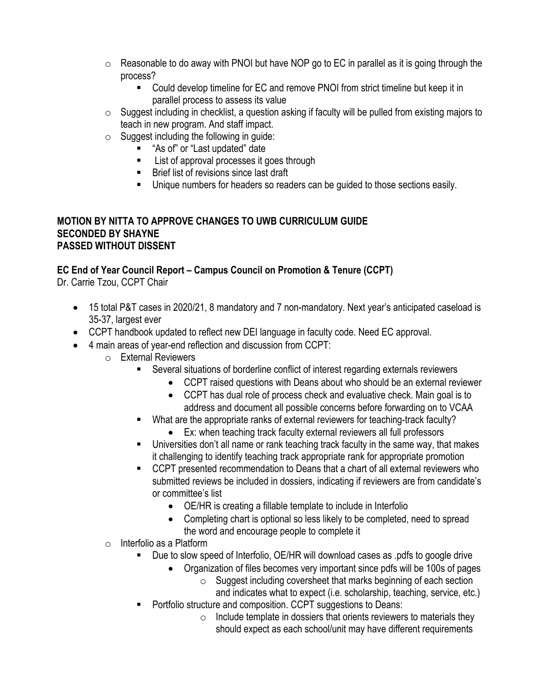- $\circ$  Reasonable to do away with PNOI but have NOP go to EC in parallel as it is going through the process?
	- Could develop timeline for EC and remove PNOI from strict timeline but keep it in parallel process to assess its value
- $\circ$  Suggest including in checklist, a question asking if faculty will be pulled from existing majors to teach in new program. And staff impact.
- $\circ$  Suggest including the following in quide:
	- "As of" or "Last updated" date
	- List of approval processes it goes through
	- Brief list of revisions since last draft
	- **E** Unique numbers for headers so readers can be guided to those sections easily.

### **MOTION BY NITTA TO APPROVE CHANGES TO UWB CURRICULUM GUIDE SECONDED BY SHAYNE PASSED WITHOUT DISSENT**

# **EC End of Year Council Report – Campus Council on Promotion & Tenure (CCPT)**

Dr. Carrie Tzou, CCPT Chair

- 15 total P&T cases in 2020/21, 8 mandatory and 7 non-mandatory. Next year's anticipated caseload is 35-37, largest ever
- CCPT handbook updated to reflect new DEI language in faculty code. Need EC approval.
- 4 main areas of year-end reflection and discussion from CCPT:
	- o External Reviewers
		- Several situations of borderline conflict of interest regarding externals reviewers
			- CCPT raised questions with Deans about who should be an external reviewer
			- CCPT has dual role of process check and evaluative check. Main goal is to address and document all possible concerns before forwarding on to VCAA
		- What are the appropriate ranks of external reviewers for teaching-track faculty?
			- Ex: when teaching track faculty external reviewers all full professors
		- **■** Universities don't all name or rank teaching track faculty in the same way, that makes it challenging to identify teaching track appropriate rank for appropriate promotion
		- CCPT presented recommendation to Deans that a chart of all external reviewers who submitted reviews be included in dossiers, indicating if reviewers are from candidate's or committee's list
			- OE/HR is creating a fillable template to include in Interfolio
			- Completing chart is optional so less likely to be completed, need to spread the word and encourage people to complete it
	- o Interfolio as a Platform
		- Due to slow speed of Interfolio, OE/HR will download cases as .pdfs to google drive
			- Organization of files becomes very important since pdfs will be 100s of pages
				- o Suggest including coversheet that marks beginning of each section and indicates what to expect (i.e. scholarship, teaching, service, etc.)
		- Portfolio structure and composition. CCPT suggestions to Deans:
			- $\circ$  Include template in dossiers that orients reviewers to materials they should expect as each school/unit may have different requirements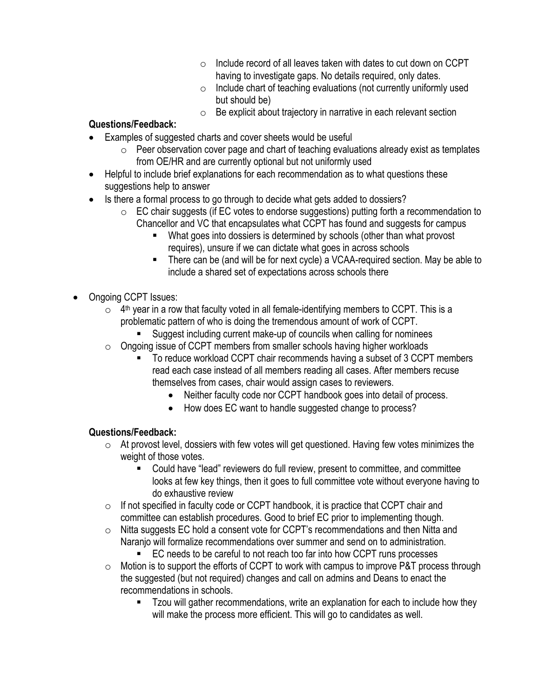- $\circ$  Include record of all leaves taken with dates to cut down on CCPT having to investigate gaps. No details required, only dates.
- $\circ$  Include chart of teaching evaluations (not currently uniformly used but should be)
- $\circ$  Be explicit about trajectory in narrative in each relevant section

## **Questions/Feedback:**

- Examples of suggested charts and cover sheets would be useful
	- $\circ$  Peer observation cover page and chart of teaching evaluations already exist as templates from OE/HR and are currently optional but not uniformly used
- Helpful to include brief explanations for each recommendation as to what questions these suggestions help to answer
- Is there a formal process to go through to decide what gets added to dossiers?
	- $\circ$  EC chair suggests (if EC votes to endorse suggestions) putting forth a recommendation to Chancellor and VC that encapsulates what CCPT has found and suggests for campus
		- What goes into dossiers is determined by schools (other than what provost requires), unsure if we can dictate what goes in across schools
		- There can be (and will be for next cycle) a VCAA-required section. May be able to include a shared set of expectations across schools there
- Ongoing CCPT Issues:
	- $\circ$  4<sup>th</sup> year in a row that faculty voted in all female-identifying members to CCPT. This is a problematic pattern of who is doing the tremendous amount of work of CCPT.
		- Suggest including current make-up of councils when calling for nominees
	- o Ongoing issue of CCPT members from smaller schools having higher workloads
		- To reduce workload CCPT chair recommends having a subset of 3 CCPT members read each case instead of all members reading all cases. After members recuse themselves from cases, chair would assign cases to reviewers.
			- Neither faculty code nor CCPT handbook goes into detail of process.
			- How does EC want to handle suggested change to process?

### **Questions/Feedback:**

- $\circ$  At provost level, dossiers with few votes will get questioned. Having few votes minimizes the weight of those votes.
	- Could have "lead" reviewers do full review, present to committee, and committee looks at few key things, then it goes to full committee vote without everyone having to do exhaustive review
- $\circ$  If not specified in faculty code or CCPT handbook, it is practice that CCPT chair and committee can establish procedures. Good to brief EC prior to implementing though.
- o Nitta suggests EC hold a consent vote for CCPT's recommendations and then Nitta and Naranjo will formalize recommendations over summer and send on to administration.
	- EC needs to be careful to not reach too far into how CCPT runs processes
- $\circ$  Motion is to support the efforts of CCPT to work with campus to improve P&T process through the suggested (but not required) changes and call on admins and Deans to enact the recommendations in schools.
	- Tzou will gather recommendations, write an explanation for each to include how they will make the process more efficient. This will go to candidates as well.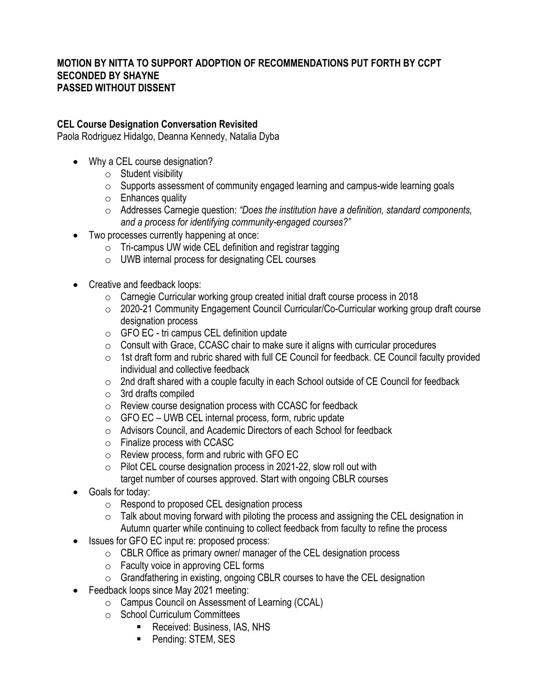#### **MOTION BY NITTA TO SUPPORT ADOPTION OF RECOMMENDATIONS PUT FORTH BY CCPT SECONDED BY SHAYNE PASSED WITHOUT DISSENT**

#### **CEL Course Designation Conversation Revisited**

Paola Rodriguez Hidalgo, Deanna Kennedy, Natalia Dyba

- Why a CEL course designation?
	- $\circ$  Student visibility
	- o Supports assessment of community engaged learning and campus-wide learning goals
	- $\circ$  Enhances quality
	- o Addresses Carnegie question: *"Does the institution have a definition, standard components, and a process for identifying community-engaged courses?"*
- Two processes currently happening at once:
	- o Tri-campus UW wide CEL definition and registrar tagging
	- o UWB internal process for designating CEL courses
- Creative and feedback loops:
	- o Carnegie Curricular working group created initial draft course process in 2018
	- o 2020-21 Community Engagement Council Curricular/Co-Curricular working group draft course designation process
	- o GFO EC tri campus CEL definition update
	- o Consult with Grace, CCASC chair to make sure it aligns with curricular procedures
	- o 1st draft form and rubric shared with full CE Council for feedback. CE Council faculty provided individual and collective feedback
	- o 2nd draft shared with a couple faculty in each School outside of CE Council for feedback
	- o 3rd drafts compiled
	- o Review course designation process with CCASC for feedback
	- $\circ$  GFO EC UWB CEL internal process, form, rubric update
	- o Advisors Council, and Academic Directors of each School for feedback
	- o Finalize process with CCASC
	- o Review process, form and rubric with GFO EC
	- o Pilot CEL course designation process in 2021-22, slow roll out with target number of courses approved. Start with ongoing CBLR courses
- Goals for today:
	- o Respond to proposed CEL designation process
	- o Talk about moving forward with piloting the process and assigning the CEL designation in Autumn quarter while continuing to collect feedback from faculty to refine the process
- Issues for GFO EC input re: proposed process:
	- o CBLR Office as primary owner/ manager of the CEL designation process
	- o Faculty voice in approving CEL forms
	- o Grandfathering in existing, ongoing CBLR courses to have the CEL designation
- Feedback loops since May 2021 meeting:
	- o Campus Council on Assessment of Learning (CCAL)
	- o School Curriculum Committees
		- Received: Business, IAS, NHS
		- Pending: STEM, SES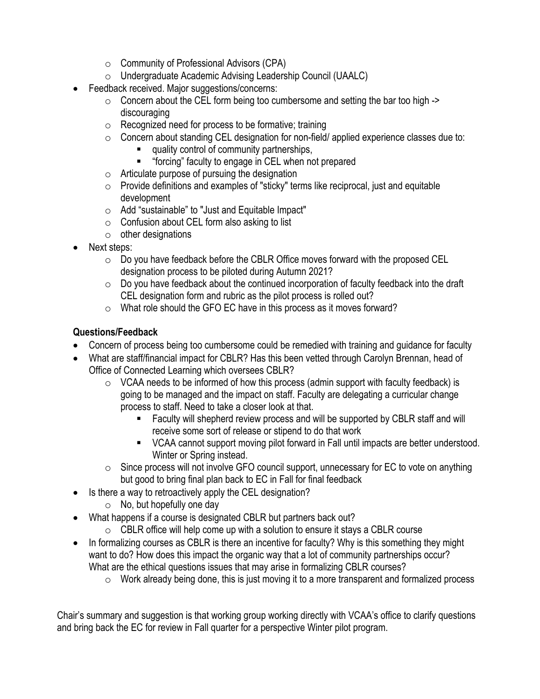- o Community of Professional Advisors (CPA)
- o Undergraduate Academic Advising Leadership Council (UAALC)
- Feedback received. Major suggestions/concerns:
	- $\circ$  Concern about the CEL form being too cumbersome and setting the bar too high  $\circ$ discouraging
	- o Recognized need for process to be formative; training
	- $\circ$  Concern about standing CEL designation for non-field/ applied experience classes due to:
		- quality control of community partnerships,
		- "forcing" faculty to engage in CEL when not prepared
	- $\circ$  Articulate purpose of pursuing the designation
	- o Provide definitions and examples of "sticky" terms like reciprocal, just and equitable development
	- o Add "sustainable" to "Just and Equitable Impact"
	- $\circ$  Confusion about CEL form also asking to list
	- $\circ$  other designations
- Next steps:
	- $\circ$  Do you have feedback before the CBLR Office moves forward with the proposed CEL designation process to be piloted during Autumn 2021?
	- o Do you have feedback about the continued incorporation of faculty feedback into the draft CEL designation form and rubric as the pilot process is rolled out?
	- o What role should the GFO EC have in this process as it moves forward?

## **Questions/Feedback**

- Concern of process being too cumbersome could be remedied with training and quidance for faculty
- What are staff/financial impact for CBLR? Has this been vetted through Carolyn Brennan, head of Office of Connected Learning which oversees CBLR?
	- $\circ$  VCAA needs to be informed of how this process (admin support with faculty feedback) is going to be managed and the impact on staff. Faculty are delegating a curricular change process to staff. Need to take a closer look at that.
		- Faculty will shepherd review process and will be supported by CBLR staff and will receive some sort of release or stipend to do that work
		- VCAA cannot support moving pilot forward in Fall until impacts are better understood. Winter or Spring instead.
	- $\circ$  Since process will not involve GFO council support, unnecessary for EC to vote on anything but good to bring final plan back to EC in Fall for final feedback
	- Is there a way to retroactively apply the CEL designation?
		- $\circ$  No, but hopefully one day
- What happens if a course is designated CBLR but partners back out?
	- $\circ$  CBLR office will help come up with a solution to ensure it stays a CBLR course
- In formalizing courses as CBLR is there an incentive for faculty? Why is this something they might want to do? How does this impact the organic way that a lot of community partnerships occur? What are the ethical questions issues that may arise in formalizing CBLR courses?
	- $\circ$  Work already being done, this is just moving it to a more transparent and formalized process

Chair's summary and suggestion is that working group working directly with VCAA's office to clarify questions and bring back the EC for review in Fall quarter for a perspective Winter pilot program.